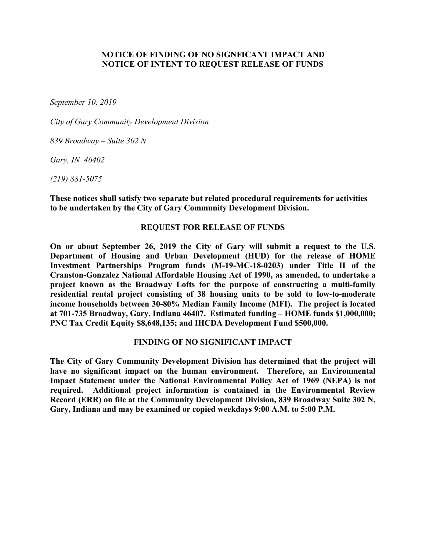# **NOTICE OF FINDING OF NO SIGNFICANT IMPACT AND NOTICE OF INTENT TO REQUEST RELEASE OF FUNDS**

*September 10, 2019*

*City of Gary Community Development Division*

*839 Broadway – Suite 302 N*

*Gary, IN 46402*

*(219) 881-5075*

**These notices shall satisfy two separate but related procedural requirements for activities to be undertaken by the City of Gary Community Development Division.**

### **REQUEST FOR RELEASE OF FUNDS**

**On or about September 26, 2019 the City of Gary will submit a request to the U.S. Department of Housing and Urban Development (HUD) for the release of HOME Investment Partnerships Program funds (M-19-MC-18-0203) under Title II of the Cranston-Gonzalez National Affordable Housing Act of 1990, as amended, to undertake a project known as the Broadway Lofts for the purpose of constructing a multi-family residential rental project consisting of 38 housing units to be sold to low-to-moderate income households between 30-80% Median Family Income (MFI). The project is located at 701-735 Broadway, Gary, Indiana 46407. Estimated funding – HOME funds \$1,000,000; PNC Tax Credit Equity \$8,648,135; and IHCDA Development Fund \$500,000.**

#### **FINDING OF NO SIGNIFICANT IMPACT**

**The City of Gary Community Development Division has determined that the project will have no significant impact on the human environment. Therefore, an Environmental Impact Statement under the National Environmental Policy Act of 1969 (NEPA) is not required. Additional project information is contained in the Environmental Review Record (ERR) on file at the Community Development Division, 839 Broadway Suite 302 N, Gary, Indiana and may be examined or copied weekdays 9:00 A.M. to 5:00 P.M.**